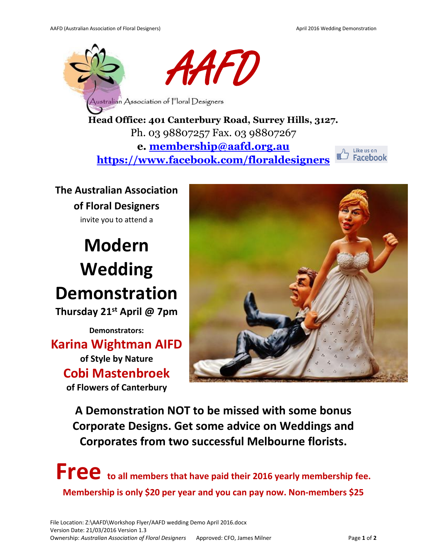

**Head Office: 401 Canterbury Road, Surrey Hills, 3127.** Ph. 03 98807257 Fax. 03 98807267 **e. [membership@aafd.org.au](mailto:membership@aafd.org.au) <https://www.facebook.com/floraldesigners>**



**The Australian Association of Floral Designers**  invite you to attend a

## **Modern Wedding Demonstration Thursday 21st April @ 7pm**

**Demonstrators: Karina Wightman AIFD of Style by Nature Cobi Mastenbroek of Flowers of Canterbury**



**A Demonstration NOT to be missed with some bonus Corporate Designs. Get some advice on Weddings and Corporates from two successful Melbourne florists.** 

**Free to all members that have paid their 2016 yearly membership fee. Membership is only \$20 per year and you can pay now. Non-members \$25**